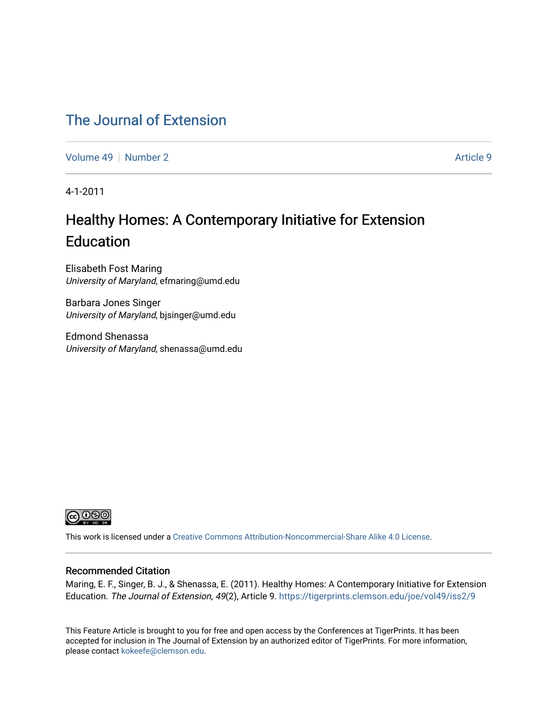### [The Journal of Extension](https://tigerprints.clemson.edu/joe)

[Volume 49](https://tigerprints.clemson.edu/joe/vol49) [Number 2](https://tigerprints.clemson.edu/joe/vol49/iss2) Article 9

4-1-2011

## Healthy Homes: A Contemporary Initiative for Extension Education

Elisabeth Fost Maring University of Maryland, efmaring@umd.edu

Barbara Jones Singer University of Maryland, bjsinger@umd.edu

Edmond Shenassa University of Maryland, shenassa@umd.edu



This work is licensed under a [Creative Commons Attribution-Noncommercial-Share Alike 4.0 License.](https://creativecommons.org/licenses/by-nc-sa/4.0/)

#### Recommended Citation

Maring, E. F., Singer, B. J., & Shenassa, E. (2011). Healthy Homes: A Contemporary Initiative for Extension Education. The Journal of Extension, 49(2), Article 9.<https://tigerprints.clemson.edu/joe/vol49/iss2/9>

This Feature Article is brought to you for free and open access by the Conferences at TigerPrints. It has been accepted for inclusion in The Journal of Extension by an authorized editor of TigerPrints. For more information, please contact [kokeefe@clemson.edu](mailto:kokeefe@clemson.edu).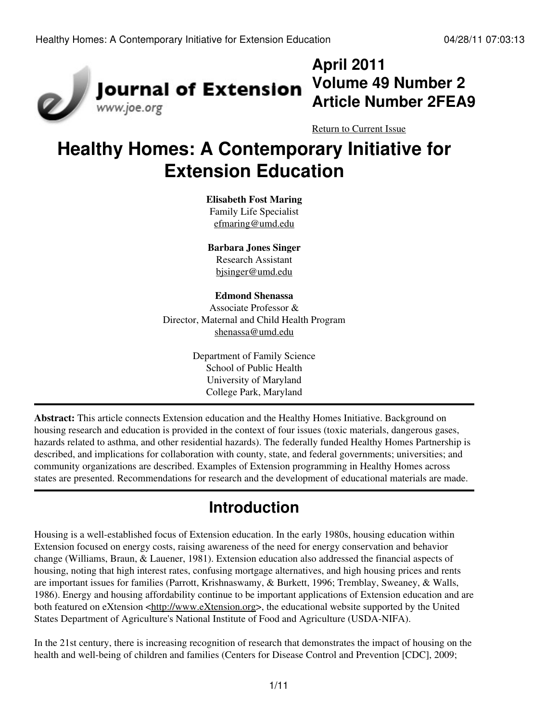

## **April 2011 Volume 49 Number 2 Article Number 2FEA9**

[Return to Current Issue](http://www.joe.org:80/joe/2011april/)

# **Healthy Homes: A Contemporary Initiative for Extension Education**

#### **Elisabeth Fost Maring**

Family Life Specialist [efmaring@umd.edu](mailto:efmaring@umd.edu)

**Barbara Jones Singer** Research Assistant [bjsinger@umd.edu](mailto:bjsinger@umd.edu)

#### **Edmond Shenassa**

Associate Professor & Director, Maternal and Child Health Program [shenassa@umd.edu](mailto:shenassa@umd.edu)

> Department of Family Science School of Public Health University of Maryland College Park, Maryland

**Abstract:** This article connects Extension education and the Healthy Homes Initiative. Background on housing research and education is provided in the context of four issues (toxic materials, dangerous gases, hazards related to asthma, and other residential hazards). The federally funded Healthy Homes Partnership is described, and implications for collaboration with county, state, and federal governments; universities; and community organizations are described. Examples of Extension programming in Healthy Homes across states are presented. Recommendations for research and the development of educational materials are made.

## **Introduction**

Housing is a well-established focus of Extension education. In the early 1980s, housing education within Extension focused on energy costs, raising awareness of the need for energy conservation and behavior change (Williams, Braun, & Lauener, 1981). Extension education also addressed the financial aspects of housing, noting that high interest rates, confusing mortgage alternatives, and high housing prices and rents are important issues for families (Parrott, Krishnaswamy, & Burkett, 1996; Tremblay, Sweaney, & Walls, 1986). Energy and housing affordability continue to be important applications of Extension education and are both featured on eXtension <[http://www.eXtension.org>](http://www.eXtension.org), the educational website supported by the United States Department of Agriculture's National Institute of Food and Agriculture (USDA-NIFA).

In the 21st century, there is increasing recognition of research that demonstrates the impact of housing on the health and well-being of children and families (Centers for Disease Control and Prevention [CDC], 2009;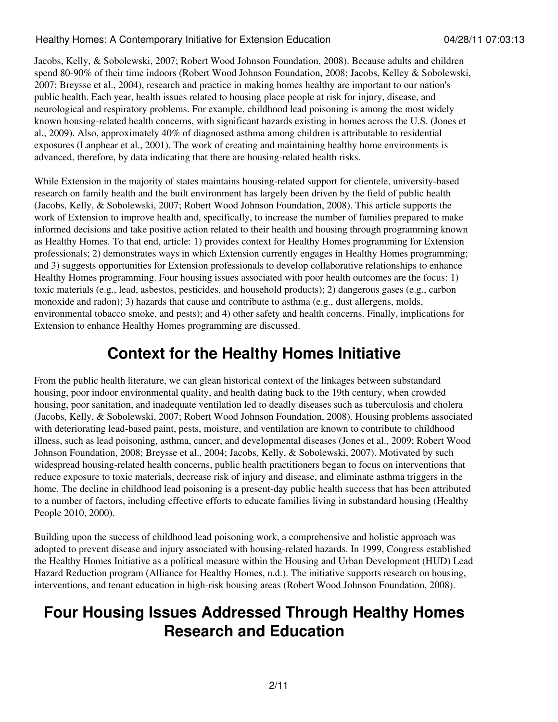Jacobs, Kelly, & Sobolewski, 2007; Robert Wood Johnson Foundation, 2008). Because adults and children spend 80-90% of their time indoors (Robert Wood Johnson Foundation, 2008; Jacobs, Kelley & Sobolewski, 2007; Breysse et al., 2004), research and practice in making homes healthy are important to our nation's public health. Each year, health issues related to housing place people at risk for injury, disease, and neurological and respiratory problems. For example, childhood lead poisoning is among the most widely known housing-related health concerns, with significant hazards existing in homes across the U.S. (Jones et al., 2009). Also, approximately 40% of diagnosed asthma among children is attributable to residential exposures (Lanphear et al., 2001). The work of creating and maintaining healthy home environments is advanced, therefore, by data indicating that there are housing-related health risks.

While Extension in the majority of states maintains housing-related support for clientele, university-based research on family health and the built environment has largely been driven by the field of public health (Jacobs, Kelly, & Sobolewski, 2007; Robert Wood Johnson Foundation, 2008). This article supports the work of Extension to improve health and, specifically, to increase the number of families prepared to make informed decisions and take positive action related to their health and housing through programming known as Healthy Homes*.* To that end, article: 1) provides context for Healthy Homes programming for Extension professionals; 2) demonstrates ways in which Extension currently engages in Healthy Homes programming; and 3) suggests opportunities for Extension professionals to develop collaborative relationships to enhance Healthy Homes programming. Four housing issues associated with poor health outcomes are the focus: 1) toxic materials (e.g., lead, asbestos, pesticides, and household products); 2) dangerous gases (e.g., carbon monoxide and radon); 3) hazards that cause and contribute to asthma (e.g., dust allergens, molds, environmental tobacco smoke, and pests); and 4) other safety and health concerns. Finally, implications for Extension to enhance Healthy Homes programming are discussed.

## **Context for the Healthy Homes Initiative**

From the public health literature, we can glean historical context of the linkages between substandard housing, poor indoor environmental quality, and health dating back to the 19th century, when crowded housing, poor sanitation, and inadequate ventilation led to deadly diseases such as tuberculosis and cholera (Jacobs, Kelly, & Sobolewski, 2007; Robert Wood Johnson Foundation, 2008). Housing problems associated with deteriorating lead-based paint, pests, moisture, and ventilation are known to contribute to childhood illness, such as lead poisoning, asthma, cancer, and developmental diseases (Jones et al., 2009; Robert Wood Johnson Foundation, 2008; Breysse et al., 2004; Jacobs, Kelly, & Sobolewski, 2007). Motivated by such widespread housing-related health concerns, public health practitioners began to focus on interventions that reduce exposure to toxic materials, decrease risk of injury and disease, and eliminate asthma triggers in the home. The decline in childhood lead poisoning is a present-day public health success that has been attributed to a number of factors, including effective efforts to educate families living in substandard housing (Healthy People 2010, 2000).

Building upon the success of childhood lead poisoning work, a comprehensive and holistic approach was adopted to prevent disease and injury associated with housing-related hazards. In 1999, Congress established the Healthy Homes Initiative as a political measure within the Housing and Urban Development (HUD) Lead Hazard Reduction program (Alliance for Healthy Homes, n.d.). The initiative supports research on housing, interventions, and tenant education in high-risk housing areas (Robert Wood Johnson Foundation, 2008).

## **Four Housing Issues Addressed Through Healthy Homes Research and Education**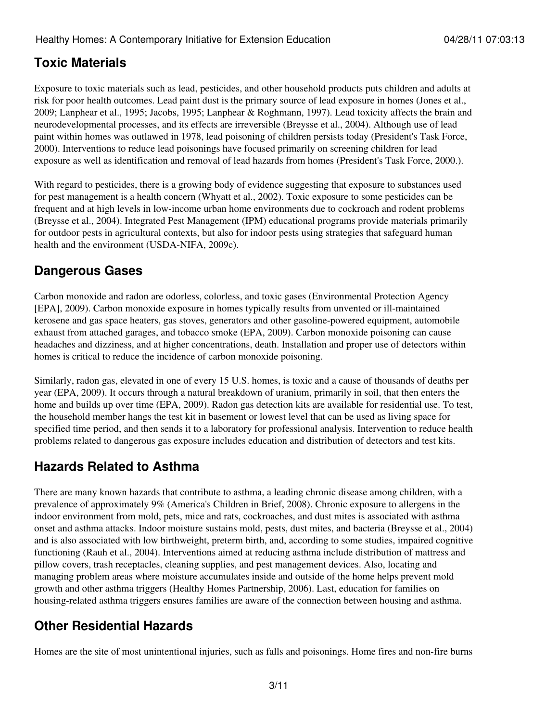### **Toxic Materials**

Exposure to toxic materials such as lead, pesticides, and other household products puts children and adults at risk for poor health outcomes. Lead paint dust is the primary source of lead exposure in homes (Jones et al., 2009; Lanphear et al., 1995; Jacobs, 1995; Lanphear & Roghmann, 1997). Lead toxicity affects the brain and neurodevelopmental processes, and its effects are irreversible (Breysse et al., 2004). Although use of lead paint within homes was outlawed in 1978, lead poisoning of children persists today (President's Task Force, 2000). Interventions to reduce lead poisonings have focused primarily on screening children for lead exposure as well as identification and removal of lead hazards from homes (President's Task Force, 2000.).

With regard to pesticides, there is a growing body of evidence suggesting that exposure to substances used for pest management is a health concern (Whyatt et al., 2002). Toxic exposure to some pesticides can be frequent and at high levels in low-income urban home environments due to cockroach and rodent problems (Breysse et al., 2004). Integrated Pest Management (IPM) educational programs provide materials primarily for outdoor pests in agricultural contexts, but also for indoor pests using strategies that safeguard human health and the environment (USDA-NIFA, 2009c).

### **Dangerous Gases**

Carbon monoxide and radon are odorless, colorless, and toxic gases (Environmental Protection Agency [EPA], 2009). Carbon monoxide exposure in homes typically results from unvented or ill-maintained kerosene and gas space heaters, gas stoves, generators and other gasoline-powered equipment, automobile exhaust from attached garages, and tobacco smoke (EPA, 2009). Carbon monoxide poisoning can cause headaches and dizziness, and at higher concentrations, death. Installation and proper use of detectors within homes is critical to reduce the incidence of carbon monoxide poisoning.

Similarly, radon gas, elevated in one of every 15 U.S. homes, is toxic and a cause of thousands of deaths per year (EPA, 2009). It occurs through a natural breakdown of uranium, primarily in soil, that then enters the home and builds up over time (EPA, 2009). Radon gas detection kits are available for residential use. To test, the household member hangs the test kit in basement or lowest level that can be used as living space for specified time period, and then sends it to a laboratory for professional analysis. Intervention to reduce health problems related to dangerous gas exposure includes education and distribution of detectors and test kits.

### **Hazards Related to Asthma**

There are many known hazards that contribute to asthma, a leading chronic disease among children, with a prevalence of approximately 9% (America's Children in Brief, 2008). Chronic exposure to allergens in the indoor environment from mold, pets, mice and rats, cockroaches, and dust mites is associated with asthma onset and asthma attacks. Indoor moisture sustains mold, pests, dust mites, and bacteria (Breysse et al., 2004) and is also associated with low birthweight, preterm birth, and, according to some studies, impaired cognitive functioning (Rauh et al., 2004). Interventions aimed at reducing asthma include distribution of mattress and pillow covers, trash receptacles, cleaning supplies, and pest management devices. Also, locating and managing problem areas where moisture accumulates inside and outside of the home helps prevent mold growth and other asthma triggers (Healthy Homes Partnership, 2006). Last, education for families on housing-related asthma triggers ensures families are aware of the connection between housing and asthma.

### **Other Residential Hazards**

Homes are the site of most unintentional injuries, such as falls and poisonings. Home fires and non-fire burns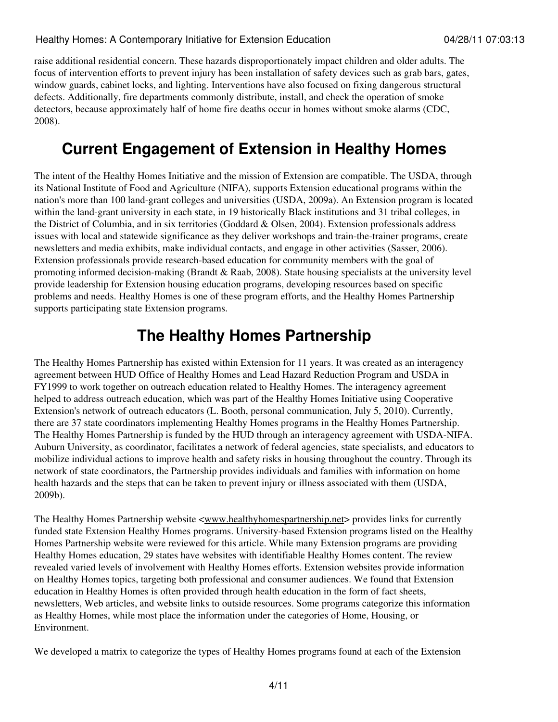raise additional residential concern. These hazards disproportionately impact children and older adults. The focus of intervention efforts to prevent injury has been installation of safety devices such as grab bars, gates, window guards, cabinet locks, and lighting. Interventions have also focused on fixing dangerous structural defects. Additionally, fire departments commonly distribute, install, and check the operation of smoke detectors, because approximately half of home fire deaths occur in homes without smoke alarms (CDC, 2008).

## **Current Engagement of Extension in Healthy Homes**

The intent of the Healthy Homes Initiative and the mission of Extension are compatible. The USDA, through its National Institute of Food and Agriculture (NIFA), supports Extension educational programs within the nation's more than 100 land-grant colleges and universities (USDA, 2009a). An Extension program is located within the land-grant university in each state, in 19 historically Black institutions and 31 tribal colleges, in the District of Columbia, and in six territories (Goddard & Olsen, 2004). Extension professionals address issues with local and statewide significance as they deliver workshops and train-the-trainer programs, create newsletters and media exhibits, make individual contacts, and engage in other activities (Sasser, 2006). Extension professionals provide research-based education for community members with the goal of promoting informed decision-making (Brandt & Raab, 2008). State housing specialists at the university level provide leadership for Extension housing education programs, developing resources based on specific problems and needs. Healthy Homes is one of these program efforts, and the Healthy Homes Partnership supports participating state Extension programs.

## **The Healthy Homes Partnership**

The Healthy Homes Partnership has existed within Extension for 11 years. It was created as an interagency agreement between HUD Office of Healthy Homes and Lead Hazard Reduction Program and USDA in FY1999 to work together on outreach education related to Healthy Homes. The interagency agreement helped to address outreach education, which was part of the Healthy Homes Initiative using Cooperative Extension's network of outreach educators (L. Booth, personal communication, July 5, 2010). Currently, there are 37 state coordinators implementing Healthy Homes programs in the Healthy Homes Partnership. The Healthy Homes Partnership is funded by the HUD through an interagency agreement with USDA-NIFA. Auburn University, as coordinator, facilitates a network of federal agencies, state specialists, and educators to mobilize individual actions to improve health and safety risks in housing throughout the country. Through its network of state coordinators, the Partnership provides individuals and families with information on home health hazards and the steps that can be taken to prevent injury or illness associated with them (USDA, 2009b).

The Healthy Homes Partnership website  $\langle$ www.healthyhomespartnership.net > provides links for currently funded state Extension Healthy Homes programs. University-based Extension programs listed on the Healthy Homes Partnership website were reviewed for this article. While many Extension programs are providing Healthy Homes education, 29 states have websites with identifiable Healthy Homes content. The review revealed varied levels of involvement with Healthy Homes efforts. Extension websites provide information on Healthy Homes topics, targeting both professional and consumer audiences. We found that Extension education in Healthy Homes is often provided through health education in the form of fact sheets, newsletters, Web articles, and website links to outside resources. Some programs categorize this information as Healthy Homes, while most place the information under the categories of Home, Housing, or Environment.

We developed a matrix to categorize the types of Healthy Homes programs found at each of the Extension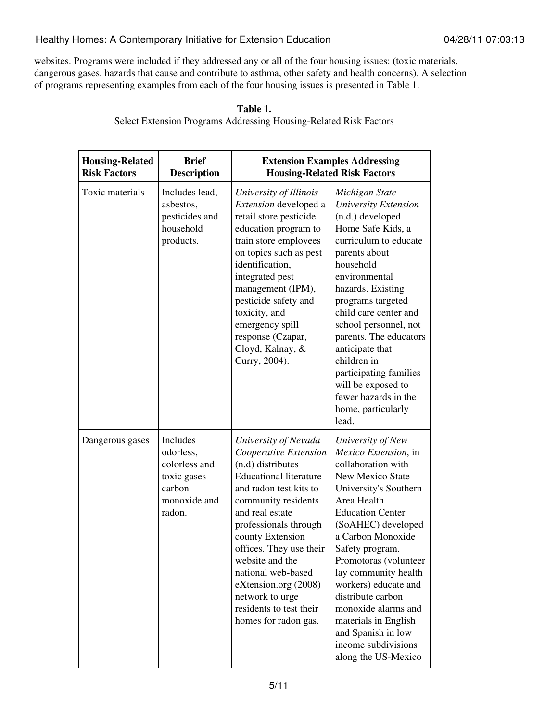websites. Programs were included if they addressed any or all of the four housing issues: (toxic materials, dangerous gases, hazards that cause and contribute to asthma, other safety and health concerns). A selection of programs representing examples from each of the four housing issues is presented in Table 1.

| <b>Housing-Related</b><br><b>Risk Factors</b> | <b>Brief</b><br><b>Description</b>                                                        | <b>Extension Examples Addressing</b><br><b>Housing-Related Risk Factors</b>                                                                                                                                                                                                                                                                                                            |                                                                                                                                                                                                                                                                                                                                                                                                                                              |
|-----------------------------------------------|-------------------------------------------------------------------------------------------|----------------------------------------------------------------------------------------------------------------------------------------------------------------------------------------------------------------------------------------------------------------------------------------------------------------------------------------------------------------------------------------|----------------------------------------------------------------------------------------------------------------------------------------------------------------------------------------------------------------------------------------------------------------------------------------------------------------------------------------------------------------------------------------------------------------------------------------------|
| Toxic materials                               | Includes lead,<br>asbestos,<br>pesticides and<br>household<br>products.                   | University of Illinois<br>Extension developed a<br>retail store pesticide<br>education program to<br>train store employees<br>on topics such as pest<br>identification,<br>integrated pest<br>management (IPM),<br>pesticide safety and<br>toxicity, and<br>emergency spill<br>response (Czapar,<br>Cloyd, Kalnay, &<br>Curry, 2004).                                                  | Michigan State<br><b>University Extension</b><br>(n.d.) developed<br>Home Safe Kids, a<br>curriculum to educate<br>parents about<br>household<br>environmental<br>hazards. Existing<br>programs targeted<br>child care center and<br>school personnel, not<br>parents. The educators<br>anticipate that<br>children in<br>participating families<br>will be exposed to<br>fewer hazards in the<br>home, particularly<br>lead.                |
| Dangerous gases                               | Includes<br>odorless,<br>colorless and<br>toxic gases<br>carbon<br>monoxide and<br>radon. | University of Nevada<br>Cooperative Extension<br>(n.d) distributes<br><b>Educational literature</b><br>and radon test kits to<br>community residents<br>and real estate<br>professionals through<br>county Extension<br>offices. They use their<br>website and the<br>national web-based<br>eXtension.org (2008)<br>network to urge<br>residents to test their<br>homes for radon gas. | University of New<br>Mexico Extension, in<br>collaboration with<br><b>New Mexico State</b><br>University's Southern<br>Area Health<br><b>Education Center</b><br>(SoAHEC) developed<br>a Carbon Monoxide<br>Safety program.<br>Promotoras (volunteer<br>lay community health<br>workers) educate and<br>distribute carbon<br>monoxide alarms and<br>materials in English<br>and Spanish in low<br>income subdivisions<br>along the US-Mexico |

| Table 1.                                                                 |  |
|--------------------------------------------------------------------------|--|
| <b>Select Extension Programs Addressing Housing-Related Risk Factors</b> |  |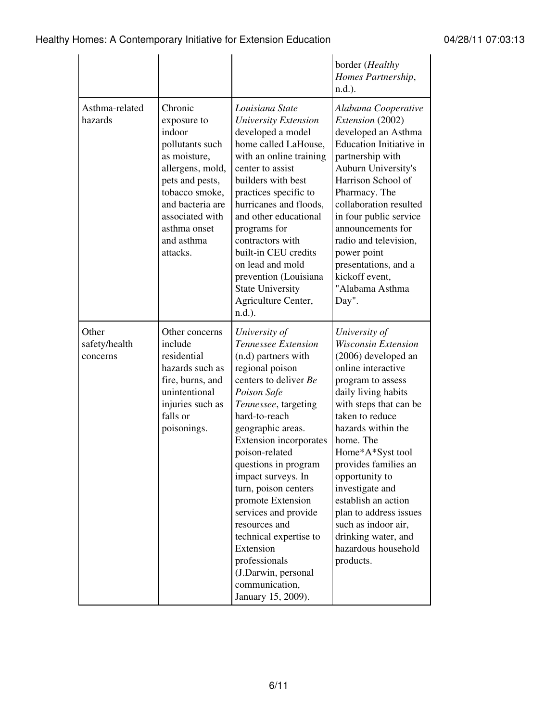|                                    |                                                                                                                                                                                                               |                                                                                                                                                                                                                                                                                                                                                                                                                                                                                             | border (Healthy<br>Homes Partnership,<br>$n.d.$ ).                                                                                                                                                                                                                                                                                                                                                                                       |
|------------------------------------|---------------------------------------------------------------------------------------------------------------------------------------------------------------------------------------------------------------|---------------------------------------------------------------------------------------------------------------------------------------------------------------------------------------------------------------------------------------------------------------------------------------------------------------------------------------------------------------------------------------------------------------------------------------------------------------------------------------------|------------------------------------------------------------------------------------------------------------------------------------------------------------------------------------------------------------------------------------------------------------------------------------------------------------------------------------------------------------------------------------------------------------------------------------------|
| Asthma-related<br>hazards          | Chronic<br>exposure to<br>indoor<br>pollutants such<br>as moisture,<br>allergens, mold,<br>pets and pests,<br>tobacco smoke,<br>and bacteria are<br>associated with<br>asthma onset<br>and asthma<br>attacks. | Louisiana State<br>University Extension<br>developed a model<br>home called LaHouse,<br>with an online training<br>center to assist<br>builders with best<br>practices specific to<br>hurricanes and floods,<br>and other educational<br>programs for<br>contractors with<br>built-in CEU credits<br>on lead and mold<br>prevention (Louisiana<br><b>State University</b><br>Agriculture Center,<br>$n.d.$ ).                                                                               | Alabama Cooperative<br>Extension (2002)<br>developed an Asthma<br><b>Education Initiative in</b><br>partnership with<br>Auburn University's<br>Harrison School of<br>Pharmacy. The<br>collaboration resulted<br>in four public service<br>announcements for<br>radio and television,<br>power point<br>presentations, and a<br>kickoff event,<br>"Alabama Asthma<br>Day".                                                                |
| Other<br>safety/health<br>concerns | Other concerns<br>include<br>residential<br>hazards such as<br>fire, burns, and<br>unintentional<br>injuries such as<br>falls or<br>poisonings.                                                               | University of<br>Tennessee Extension<br>(n.d) partners with<br>regional poison<br>centers to deliver Be<br>Poison Safe<br>Tennessee, targeting<br>hard-to-reach<br>geographic areas.<br>Extension incorporates<br>poison-related<br>questions in program<br>impact surveys. In<br>turn, poison centers<br>promote Extension<br>services and provide<br>resources and<br>technical expertise to<br>Extension<br>professionals<br>(J.Darwin, personal<br>communication,<br>January 15, 2009). | University of<br><b>Wisconsin Extension</b><br>(2006) developed an<br>online interactive<br>program to assess<br>daily living habits<br>with steps that can be<br>taken to reduce<br>hazards within the<br>home. The<br>Home*A*Syst tool<br>provides families an<br>opportunity to<br>investigate and<br>establish an action<br>plan to address issues<br>such as indoor air,<br>drinking water, and<br>hazardous household<br>products. |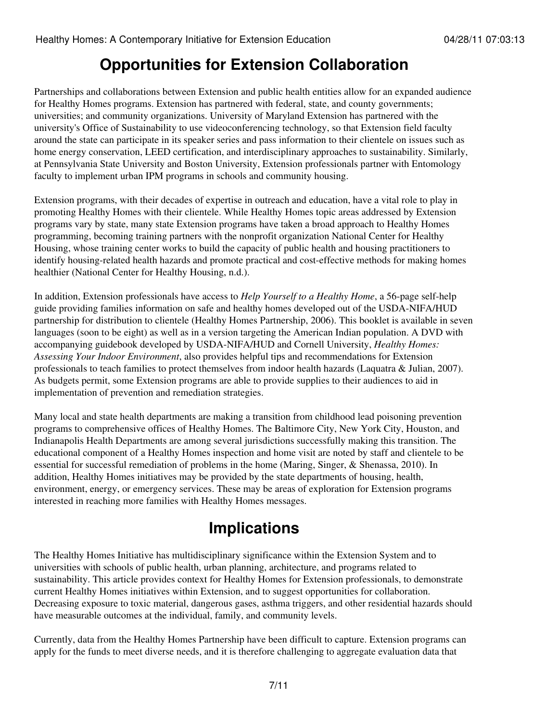## **Opportunities for Extension Collaboration**

Partnerships and collaborations between Extension and public health entities allow for an expanded audience for Healthy Homes programs. Extension has partnered with federal, state, and county governments; universities; and community organizations. University of Maryland Extension has partnered with the university's Office of Sustainability to use videoconferencing technology, so that Extension field faculty around the state can participate in its speaker series and pass information to their clientele on issues such as home energy conservation, LEED certification, and interdisciplinary approaches to sustainability. Similarly, at Pennsylvania State University and Boston University, Extension professionals partner with Entomology faculty to implement urban IPM programs in schools and community housing.

Extension programs, with their decades of expertise in outreach and education, have a vital role to play in promoting Healthy Homes with their clientele. While Healthy Homes topic areas addressed by Extension programs vary by state, many state Extension programs have taken a broad approach to Healthy Homes programming, becoming training partners with the nonprofit organization National Center for Healthy Housing, whose training center works to build the capacity of public health and housing practitioners to identify housing-related health hazards and promote practical and cost-effective methods for making homes healthier (National Center for Healthy Housing, n.d.).

In addition, Extension professionals have access to *Help Yourself to a Healthy Home*, a 56-page self-help guide providing families information on safe and healthy homes developed out of the USDA-NIFA/HUD partnership for distribution to clientele (Healthy Homes Partnership, 2006). This booklet is available in seven languages (soon to be eight) as well as in a version targeting the American Indian population. A DVD with accompanying guidebook developed by USDA-NIFA/HUD and Cornell University, *Healthy Homes: Assessing Your Indoor Environment*, also provides helpful tips and recommendations for Extension professionals to teach families to protect themselves from indoor health hazards (Laquatra & Julian, 2007). As budgets permit, some Extension programs are able to provide supplies to their audiences to aid in implementation of prevention and remediation strategies.

Many local and state health departments are making a transition from childhood lead poisoning prevention programs to comprehensive offices of Healthy Homes. The Baltimore City, New York City, Houston, and Indianapolis Health Departments are among several jurisdictions successfully making this transition. The educational component of a Healthy Homes inspection and home visit are noted by staff and clientele to be essential for successful remediation of problems in the home (Maring, Singer, & Shenassa, 2010). In addition, Healthy Homes initiatives may be provided by the state departments of housing, health, environment, energy, or emergency services. These may be areas of exploration for Extension programs interested in reaching more families with Healthy Homes messages.

## **Implications**

The Healthy Homes Initiative has multidisciplinary significance within the Extension System and to universities with schools of public health, urban planning, architecture, and programs related to sustainability. This article provides context for Healthy Homes for Extension professionals, to demonstrate current Healthy Homes initiatives within Extension, and to suggest opportunities for collaboration. Decreasing exposure to toxic material, dangerous gases, asthma triggers, and other residential hazards should have measurable outcomes at the individual, family, and community levels.

Currently, data from the Healthy Homes Partnership have been difficult to capture. Extension programs can apply for the funds to meet diverse needs, and it is therefore challenging to aggregate evaluation data that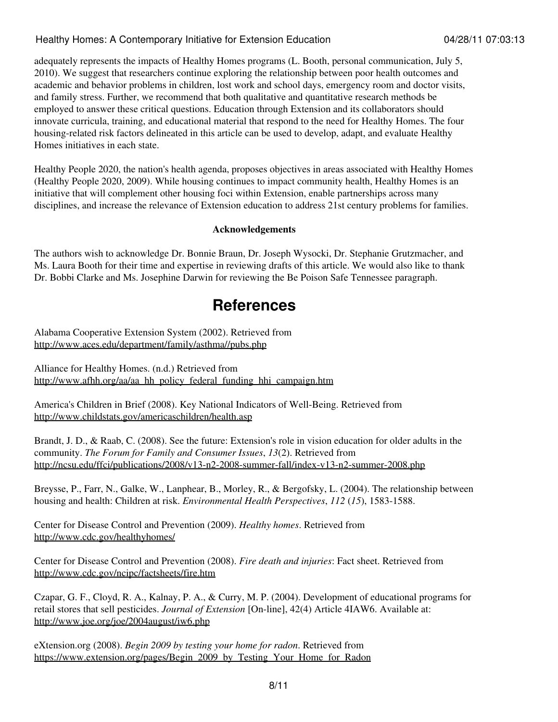adequately represents the impacts of Healthy Homes programs (L. Booth, personal communication, July 5, 2010). We suggest that researchers continue exploring the relationship between poor health outcomes and academic and behavior problems in children, lost work and school days, emergency room and doctor visits, and family stress. Further, we recommend that both qualitative and quantitative research methods be employed to answer these critical questions. Education through Extension and its collaborators should innovate curricula, training, and educational material that respond to the need for Healthy Homes. The four housing-related risk factors delineated in this article can be used to develop, adapt, and evaluate Healthy Homes initiatives in each state.

Healthy People 2020, the nation's health agenda, proposes objectives in areas associated with Healthy Homes (Healthy People 2020, 2009). While housing continues to impact community health, Healthy Homes is an initiative that will complement other housing foci within Extension, enable partnerships across many disciplines, and increase the relevance of Extension education to address 21st century problems for families.

#### **Acknowledgements**

The authors wish to acknowledge Dr. Bonnie Braun, Dr. Joseph Wysocki, Dr. Stephanie Grutzmacher, and Ms. Laura Booth for their time and expertise in reviewing drafts of this article. We would also like to thank Dr. Bobbi Clarke and Ms. Josephine Darwin for reviewing the Be Poison Safe Tennessee paragraph.

### **References**

Alabama Cooperative Extension System (2002). Retrieved from <http://www.aces.edu/department/family/asthma//pubs.php>

Alliance for Healthy Homes. (n.d.) Retrieved from [http://www.afhh.org/aa/aa\\_hh\\_policy\\_federal\\_funding\\_hhi\\_campaign.htm](http://www.afhh.org/aa/aa_hh_policy_federal_funding_hhi_campaign.htm)

America's Children in Brief (2008). Key National Indicators of Well-Being. Retrieved from <http://www.childstats.gov/americaschildren/health.asp>

Brandt, J. D., & Raab, C. (2008). See the future: Extension's role in vision education for older adults in the community. *The Forum for Family and Consumer Issues*, *13*(2). Retrieved from <http://ncsu.edu/ffci/publications/2008/v13-n2-2008-summer-fall/index-v13-n2-summer-2008.php>

Breysse, P., Farr, N., Galke, W., Lanphear, B., Morley, R., & Bergofsky, L. (2004). The relationship between housing and health: Children at risk. *Environmental Health Perspectives*, *112* (*15*), 1583-1588.

Center for Disease Control and Prevention (2009). *Healthy homes*. Retrieved from <http://www.cdc.gov/healthyhomes/>

Center for Disease Control and Prevention (2008). *Fire death and injuries*: Fact sheet. Retrieved from <http://www.cdc.gov/ncipc/factsheets/fire.htm>

Czapar, G. F., Cloyd, R. A., Kalnay, P. A., & Curry, M. P. (2004). Development of educational programs for retail stores that sell pesticides. *Journal of Extension* [On-line], 42(4) Article 4IAW6. Available at: <http://www.joe.org/joe/2004august/iw6.php>

eXtension.org (2008). *Begin 2009 by testing your home for radon*. Retrieved from [https://www.extension.org/pages/Begin\\_2009\\_by\\_Testing\\_Your\\_Home\\_for\\_Radon](https://www.extension.org/pages/Begin_2009_by_Testing_Your_Home_for_Radon)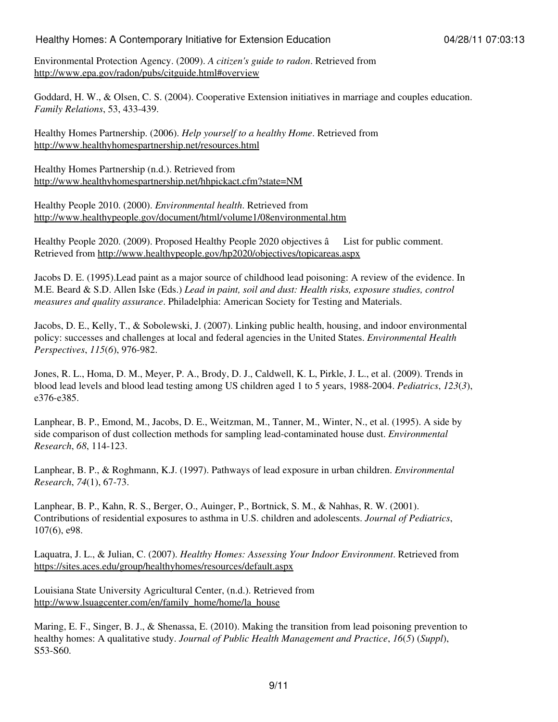Environmental Protection Agency. (2009). *A citizen's guide to radon*. Retrieved from <http://www.epa.gov/radon/pubs/citguide.html#overview>

Goddard, H. W., & Olsen, C. S. (2004). Cooperative Extension initiatives in marriage and couples education. *Family Relations*, 53, 433-439.

Healthy Homes Partnership. (2006). *Help yourself to a healthy Home*. Retrieved from <http://www.healthyhomespartnership.net/resources.html>

Healthy Homes Partnership (n.d.). Retrieved from <http://www.healthyhomespartnership.net/hhpickact.cfm?state=NM>

Healthy People 2010. (2000). *Environmental health*. Retrieved from <http://www.healthypeople.gov/document/html/volume1/08environmental.htm>

Healthy People 2020. (2009). Proposed Healthy People 2020 objectives â List for public comment. Retrieved from<http://www.healthypeople.gov/hp2020/objectives/topicareas.aspx>

Jacobs D. E. (1995).Lead paint as a major source of childhood lead poisoning: A review of the evidence. In M.E. Beard & S.D. Allen Iske (Eds.) *Lead in paint, soil and dust: Health risks, exposure studies, control measures and quality assurance*. Philadelphia: American Society for Testing and Materials.

Jacobs, D. E., Kelly, T., & Sobolewski, J. (2007). Linking public health, housing, and indoor environmental policy: successes and challenges at local and federal agencies in the United States. *Environmental Health Perspectives*, *115*(*6*), 976-982.

Jones, R. L., Homa, D. M., Meyer, P. A., Brody, D. J., Caldwell, K. L, Pirkle, J. L., et al. (2009). Trends in blood lead levels and blood lead testing among US children aged 1 to 5 years, 1988-2004. *Pediatrics*, *123*(*3*), e376-e385.

Lanphear, B. P., Emond, M., Jacobs, D. E., Weitzman, M., Tanner, M., Winter, N., et al. (1995). A side by side comparison of dust collection methods for sampling lead-contaminated house dust. *Environmental Research*, *68*, 114-123.

Lanphear, B. P., & Roghmann, K.J. (1997). Pathways of lead exposure in urban children. *Environmental Research*, *74*(1), 67-73.

Lanphear, B. P., Kahn, R. S., Berger, O., Auinger, P., Bortnick, S. M., & Nahhas, R. W. (2001). Contributions of residential exposures to asthma in U.S. children and adolescents. *Journal of Pediatrics*, 107(6), e98.

Laquatra, J. L., & Julian, C. (2007). *Healthy Homes: Assessing Your Indoor Environment*. Retrieved from <https://sites.aces.edu/group/healthyhomes/resources/default.aspx>

Louisiana State University Agricultural Center, (n.d.). Retrieved from [http://www.lsuagcenter.com/en/family\\_home/home/la\\_house](http://www.lsuagcenter.com/en/family_home/home/la_house)

Maring, E. F., Singer, B. J., & Shenassa, E. (2010). Making the transition from lead poisoning prevention to healthy homes: A qualitative study. *Journal of Public Health Management and Practice*, *16*(*5*) (*Suppl*), S53-S60.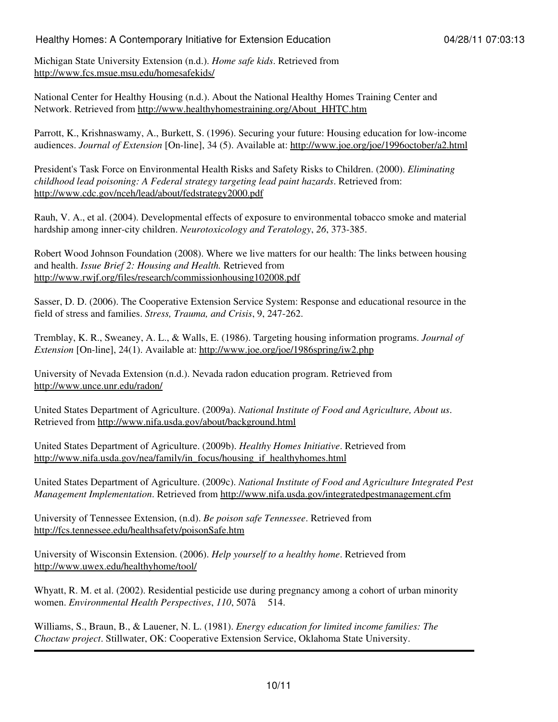Michigan State University Extension (n.d.). *Home safe kids*. Retrieved from <http://www.fcs.msue.msu.edu/homesafekids/>

National Center for Healthy Housing (n.d.). About the National Healthy Homes Training Center and Network. Retrieved from [http://www.healthyhomestraining.org/About\\_HHTC.htm](http://www.healthyhomestraining.org/About_HHTC.htm)

Parrott, K., Krishnaswamy, A., Burkett, S. (1996). Securing your future: Housing education for low-income audiences. *Journal of Extension* [On-line], 34 (5). Available at: <http://www.joe.org/joe/1996october/a2.html>

President's Task Force on Environmental Health Risks and Safety Risks to Children. (2000). *Eliminating childhood lead poisoning: A Federal strategy targeting lead paint hazards*. Retrieved from: <http://www.cdc.gov/nceh/lead/about/fedstrategy2000.pdf>

Rauh, V. A., et al. (2004). Developmental effects of exposure to environmental tobacco smoke and material hardship among inner-city children. *Neurotoxicology and Teratology*, *26*, 373-385.

Robert Wood Johnson Foundation (2008). Where we live matters for our health: The links between housing and health. *Issue Brief 2: Housing and Health.* Retrieved from [http://www.rwjf.org/files/research/commissionhousing102008.pdf](http://www.rwjf.org/files/research/commissionhousing102008.pdf )

Sasser, D. D. (2006). The Cooperative Extension Service System: Response and educational resource in the field of stress and families. *Stress, Trauma, and Crisis*, 9, 247-262.

Tremblay, K. R., Sweaney, A. L., & Walls, E. (1986). Targeting housing information programs. *Journal of Extension* [On-line], 24(1). Available at: <http://www.joe.org/joe/1986spring/iw2.php>

University of Nevada Extension (n.d.). Nevada radon education program. Retrieved from <http://www.unce.unr.edu/radon/>

United States Department of Agriculture. (2009a). *National Institute of Food and Agriculture, About us*. Retrieved from<http://www.nifa.usda.gov/about/background.html>

United States Department of Agriculture. (2009b). *Healthy Homes Initiative*. Retrieved from [http://www.nifa.usda.gov/nea/family/in\\_focus/housing\\_if\\_healthyhomes.html](http://www.nifa.usda.gov/nea/family/in_focus/housing_if_healthyhomes.html)

United States Department of Agriculture. (2009c). *National Institute of Food and Agriculture Integrated Pest Management Implementation*. Retrieved from <http://www.nifa.usda.gov/integratedpestmanagement.cfm>

University of Tennessee Extension, (n.d). *Be poison safe Tennessee*. Retrieved from <http://fcs.tennessee.edu/healthsafety/poisonSafe.htm>

University of Wisconsin Extension. (2006). *Help yourself to a healthy home*. Retrieved from <http://www.uwex.edu/healthyhome/tool/>

Whyatt, R. M. et al. (2002). Residential pesticide use during pregnancy among a cohort of urban minority women. *Environmental Health Perspectives*, 110, 507â 514.

Williams, S., Braun, B., & Lauener, N. L. (1981). *Energy education for limited income families: The Choctaw project*. Stillwater, OK: Cooperative Extension Service, Oklahoma State University.